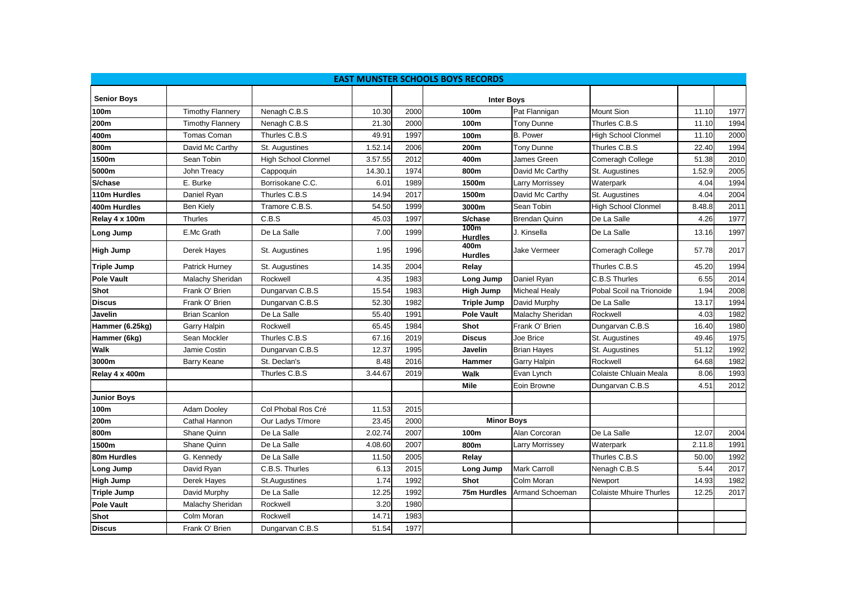| <b>EAST MUNSTER SCHOOLS BOYS RECORDS</b> |                         |                            |         |      |                                            |                      |                                |        |      |  |  |  |
|------------------------------------------|-------------------------|----------------------------|---------|------|--------------------------------------------|----------------------|--------------------------------|--------|------|--|--|--|
| <b>Senior Boys</b>                       |                         |                            |         |      |                                            |                      |                                |        |      |  |  |  |
| 100m                                     | <b>Timothy Flannery</b> | Nenagh C.B.S               | 10.30   | 2000 | <b>Inter Boys</b><br>100m<br>Pat Flannigan |                      | Mount Sion                     | 11.10  | 1977 |  |  |  |
| 200m                                     | <b>Timothy Flannery</b> | Nenagh C.B.S               | 21.30   | 2000 | 100m                                       | Tony Dunne           | Thurles C.B.S                  | 11.10  | 1994 |  |  |  |
| 400m                                     | Tomas Coman             | Thurles C.B.S              | 49.91   | 1997 | 100m                                       | <b>B.</b> Power      | <b>High School Clonmel</b>     | 11.10  | 2000 |  |  |  |
| 800m                                     |                         |                            |         | 2006 |                                            |                      |                                | 22.40  |      |  |  |  |
|                                          | David Mc Carthy         | St. Augustines             | 1.52.14 |      | 200m                                       | Tony Dunne           | Thurles C.B.S                  |        | 1994 |  |  |  |
| 1500m                                    | Sean Tobin              | <b>High School Clonmel</b> | 3.57.55 | 2012 | 400m                                       | James Green          | Comeragh College               | 51.38  | 2010 |  |  |  |
| 5000m                                    | John Treacy             | Cappoquin                  | 14.30.1 | 1974 | 800m                                       | David Mc Carthy      | St. Augustines                 | 1.52.9 | 2005 |  |  |  |
| S/chase                                  | E. Burke                | Borrisokane C.C.           | 6.01    | 1989 | 1500m                                      | arry Morrissey       | Waterpark                      | 4.04   | 1994 |  |  |  |
| 110m Hurdles                             | Daniel Ryan             | Thurles C.B.S              | 14.94   | 2017 | 1500m                                      | David Mc Carthy      | St. Augustines                 | 4.04   | 2004 |  |  |  |
| 400m Hurdles                             | <b>Ben Kiely</b>        | Tramore C.B.S.             | 54.50   | 1999 | 3000m                                      | Sean Tobin           | <b>High School Clonmel</b>     | 8.48.8 | 2011 |  |  |  |
| Relay 4 x 100m                           | Thurles                 | C.B.S                      | 45.03   | 1997 | S/chase                                    | <b>Brendan Quinn</b> | De La Salle                    | 4.26   | 1977 |  |  |  |
| <b>Long Jump</b>                         | E.Mc Grath              | De La Salle                | 7.00    | 1999 | 100m<br><b>Hurdles</b>                     | J. Kinsella          | De La Salle                    | 13.16  | 1997 |  |  |  |
| <b>High Jump</b>                         | Derek Hayes             | St. Augustines             | 1.95    | 1996 | 400m<br><b>Hurdles</b>                     | Jake Vermeer         | Comeragh College               | 57.78  | 2017 |  |  |  |
| <b>Triple Jump</b>                       | <b>Patrick Hurney</b>   | St. Augustines             | 14.35   | 2004 | Relay                                      |                      | Thurles C.B.S                  | 45.20  | 1994 |  |  |  |
| <b>Pole Vault</b>                        | Malachy Sheridan        | Rockwell                   | 4.35    | 1983 | Long Jump                                  | Daniel Ryan          | C.B.S Thurles                  | 6.55   | 2014 |  |  |  |
| Shot                                     | Frank O' Brien          | Dungarvan C.B.S            | 15.54   | 1983 | <b>High Jump</b>                           | <b>Micheal Healy</b> | Pobal Scoil na Trionoide       | 1.94   | 2008 |  |  |  |
| <b>Discus</b>                            | Frank O' Brien          | Dungarvan C.B.S            | 52.30   | 1982 | <b>Triple Jump</b>                         | David Murphy         | De La Salle                    | 13.17  | 1994 |  |  |  |
| Javelin                                  | <b>Brian Scanlon</b>    | De La Salle                | 55.40   | 1991 | <b>Pole Vault</b>                          | Malachy Sheridan     | Rockwell                       | 4.03   | 1982 |  |  |  |
| Hammer (6.25kg)                          | Garry Halpin            | Rockwell                   | 65.45   | 1984 | <b>Shot</b>                                | Frank O' Brien       | Dungarvan C.B.S                | 16.40  | 1980 |  |  |  |
| Hammer (6kg)                             | Sean Mockler            | Thurles C.B.S              | 67.16   | 2019 | <b>Discus</b>                              | Joe Brice            | St. Augustines                 | 49.46  | 1975 |  |  |  |
| <b>Walk</b>                              | Jamie Costin            | Dungarvan C.B.S            | 12.37   | 1995 | Javelin                                    | <b>Brian Hayes</b>   | St. Augustines                 | 51.12  | 1992 |  |  |  |
| 3000m                                    | Barry Keane             | St. Declan's               | 8.48    | 2016 | Hammer                                     | Garry Halpin         | Rockwell                       | 64.68  | 1982 |  |  |  |
| Relay 4 x 400m                           |                         | Thurles C.B.S              | 3.44.67 | 2019 | <b>Walk</b>                                | Evan Lynch           | Colaiste Chluain Meala         | 8.06   | 1993 |  |  |  |
|                                          |                         |                            |         |      | <b>Mile</b>                                | Eoin Browne          | Dungarvan C.B.S                | 4.51   | 2012 |  |  |  |
| <b>Junior Boys</b>                       |                         |                            |         |      |                                            |                      |                                |        |      |  |  |  |
| 100m                                     | Adam Dooley             | Col Phobal Ros Cré         | 11.53   | 2015 |                                            |                      |                                |        |      |  |  |  |
| 200m                                     | Cathal Hannon           | Our Ladys T/more           | 23.45   | 2000 | <b>Minor Boys</b>                          |                      |                                |        |      |  |  |  |
| 800m                                     | Shane Quinn             | De La Salle                | 2.02.74 | 2007 | 100m                                       | Alan Corcoran        | De La Salle                    | 12.07  | 2004 |  |  |  |
| 1500m                                    | Shane Quinn             | De La Salle                | 4.08.60 | 2007 | 800m                                       | arry Morrissey       | Waterpark                      | 2.11.8 | 1991 |  |  |  |
| 80m Hurdles                              | G. Kennedy              | De La Salle                | 11.50   | 2005 | Relay                                      |                      | Thurles C.B.S                  | 50.00  | 1992 |  |  |  |
| Long Jump                                | David Ryan              | C.B.S. Thurles             | 6.13    | 2015 | Long Jump                                  | Mark Carroll         | Nenagh C.B.S                   | 5.44   | 2017 |  |  |  |
| <b>High Jump</b>                         | Derek Hayes             | St.Augustines              | 1.74    | 1992 | <b>Shot</b>                                | Colm Moran           | Newport                        | 14.93  | 1982 |  |  |  |
| <b>Triple Jump</b>                       | David Murphy            | De La Salle                | 12.25   | 1992 | 75m Hurdles                                | Armand Schoeman      | <b>Colaiste Mhuire Thurles</b> | 12.25  | 2017 |  |  |  |
| <b>Pole Vault</b>                        | Malachy Sheridan        | Rockwell                   | 3.20    | 1980 |                                            |                      |                                |        |      |  |  |  |
| Shot                                     | Colm Moran              | Rockwell                   | 14.71   | 1983 |                                            |                      |                                |        |      |  |  |  |
| <b>Discus</b>                            | Frank O' Brien          | Dungarvan C.B.S            | 51.54   | 1977 |                                            |                      |                                |        |      |  |  |  |